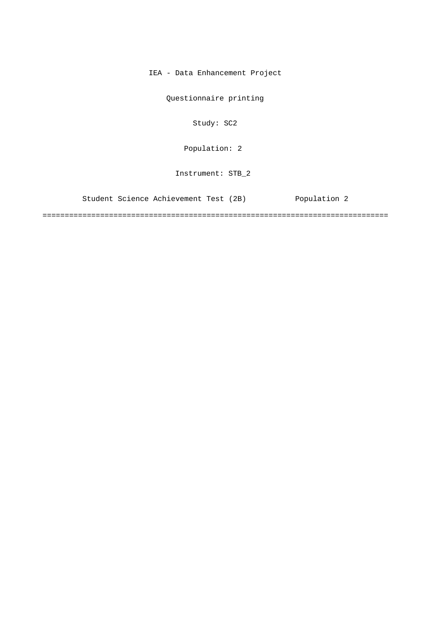IEA - Data Enhancement Project

Questionnaire printing

Study: SC2

[Population: 2](#page-1-0) 

Instrument: STB\_2

[Student Science Achievement Test \(2B\) Population 2](#page-1-0)

==============================================================================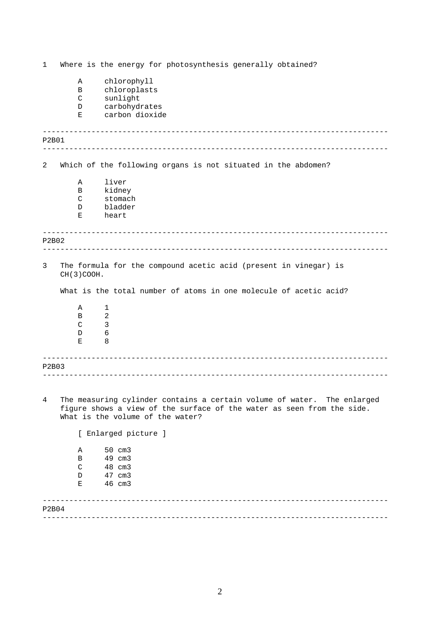<span id="page-1-0"></span>------------------------------------------------------------------------------ ------------------------------------------------------------------------------ ------------------------------------------------------------------------------ ------------------------------------------------------------------------------ ------------------------------------------------------------------------------ ------------------------------------------------------------------------------ ------------------------------------------------------------------------------ ------------------------------------------------------------------------------ 1 Where is the energy for photosynthesis generally obtained? A chlorophyll B chloroplasts C sunlight D carbohydrates E carbon dioxide P2B01 2 Which of the following organs is not situated in the abdomen? A liver B kidney C stomach D bladder E heart P2B02 3 The formula for the compound acetic acid (present in vinegar) is CH(3)COOH. What is the total number of atoms in one molecule of acetic acid? A 1 B 2  $C = 3$ D 6 E 8 P2B03 4 The measuring cylinder contains a certain volume of water. The enlarged figure shows a view of the surface of the water as seen from the side. What is the volume of the water? [ Enlarged picture ] A 50 cm3 B 49 cm3 C 48 cm3 D 47 cm3 E 46 cm3 P2B04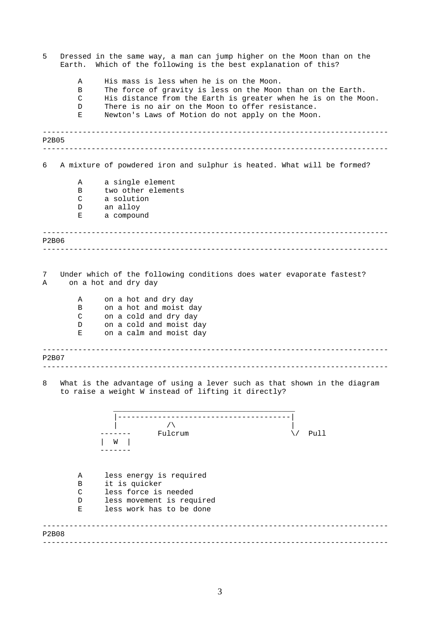| 5            | Dressed in the same way, a man can jump higher on the Moon than on the<br>Which of the following is the best explanation of this?<br>Earth. |                                                                                                                                                                                                                                                                                    |
|--------------|---------------------------------------------------------------------------------------------------------------------------------------------|------------------------------------------------------------------------------------------------------------------------------------------------------------------------------------------------------------------------------------------------------------------------------------|
|              | Α<br>B<br>C<br>D<br>Е                                                                                                                       | His mass is less when he is on the Moon.<br>The force of gravity is less on the Moon than on the Earth.<br>His distance from the Earth is greater when he is on the Moon.<br>There is no air on the Moon to offer resistance.<br>Newton's Laws of Motion do not apply on the Moon. |
| <b>P2B05</b> |                                                                                                                                             |                                                                                                                                                                                                                                                                                    |
|              |                                                                                                                                             |                                                                                                                                                                                                                                                                                    |
| 6            |                                                                                                                                             | A mixture of powdered iron and sulphur is heated. What will be formed?                                                                                                                                                                                                             |
|              | Α                                                                                                                                           | a single element                                                                                                                                                                                                                                                                   |
|              | B                                                                                                                                           | two other elements                                                                                                                                                                                                                                                                 |
|              | C                                                                                                                                           | a solution                                                                                                                                                                                                                                                                         |
|              | D                                                                                                                                           | an alloy<br>a compound                                                                                                                                                                                                                                                             |
|              | Е                                                                                                                                           |                                                                                                                                                                                                                                                                                    |
| <b>P2B06</b> |                                                                                                                                             |                                                                                                                                                                                                                                                                                    |
|              |                                                                                                                                             |                                                                                                                                                                                                                                                                                    |
| 7<br>Α       |                                                                                                                                             | Under which of the following conditions does water evaporate fastest?<br>on a hot and dry day                                                                                                                                                                                      |
|              | Α                                                                                                                                           | on a hot and dry day                                                                                                                                                                                                                                                               |
|              | B                                                                                                                                           | on a hot and moist day                                                                                                                                                                                                                                                             |
|              | C                                                                                                                                           | on a cold and dry day                                                                                                                                                                                                                                                              |
|              | D                                                                                                                                           | on a cold and moist day                                                                                                                                                                                                                                                            |
|              | Е                                                                                                                                           | on a calm and moist day                                                                                                                                                                                                                                                            |
| P2B07        |                                                                                                                                             |                                                                                                                                                                                                                                                                                    |
|              |                                                                                                                                             |                                                                                                                                                                                                                                                                                    |
| 8            |                                                                                                                                             | What is the advantage of using a lever such as that shown in the diagram<br>to raise a weight W instead of lifting it directly?                                                                                                                                                    |
|              |                                                                                                                                             |                                                                                                                                                                                                                                                                                    |
|              |                                                                                                                                             | $\sqrt{2}$                                                                                                                                                                                                                                                                         |
|              |                                                                                                                                             | Fulcrum<br>Pull                                                                                                                                                                                                                                                                    |
|              |                                                                                                                                             |                                                                                                                                                                                                                                                                                    |
|              |                                                                                                                                             |                                                                                                                                                                                                                                                                                    |
|              | Α                                                                                                                                           | less energy is required                                                                                                                                                                                                                                                            |
|              | B                                                                                                                                           | it is quicker                                                                                                                                                                                                                                                                      |
|              | C                                                                                                                                           | less force is needed                                                                                                                                                                                                                                                               |
|              | D                                                                                                                                           | less movement is required                                                                                                                                                                                                                                                          |
|              | Е                                                                                                                                           | less work has to be done                                                                                                                                                                                                                                                           |
|              |                                                                                                                                             |                                                                                                                                                                                                                                                                                    |
| P2B08        |                                                                                                                                             |                                                                                                                                                                                                                                                                                    |
|              |                                                                                                                                             |                                                                                                                                                                                                                                                                                    |